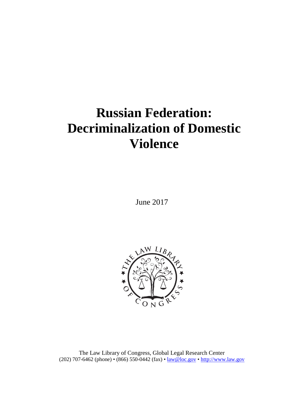# **Russian Federation: Decriminalization of Domestic Violence**

June 2017



The Law Library of Congress, Global Legal Research Center (202) 707-6462 (phone) • (866) 550-0442 (fax) • [law@loc.gov](mailto:law@loc.gov) • [http://www.law.gov](http://www.law.gov/)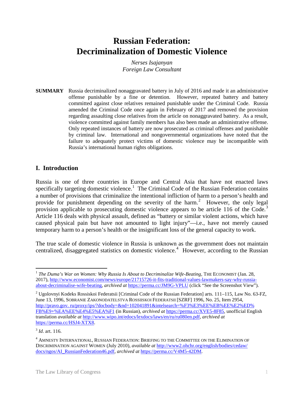## **Russian Federation: Decriminalization of Domestic Violence**

*Nerses Isajanyan Foreign Law Consultant*

**SUMMARY** Russia decriminalized nonaggravated battery in July of 2016 and made it an administrative offense punishable by a fine or detention. However, repeated battery and battery committed against close relatives remained punishable under the Criminal Code. Russia amended the Criminal Code once again in February of 2017 and removed the provision regarding assaulting close relatives from the article on nonaggravated battery. As a result, violence committed against family members has also been made an administrative offense. Only repeated instances of battery are now prosecuted as criminal offenses and punishable by criminal law. International and nongovernmental organizations have noted that the failure to adequately protect victims of domestic violence may be incompatible with Russia's international human rights obligations.

#### **I. Introduction**

Russia is one of three countries in Europe and Central Asia that have not enacted laws specifically targeting domestic violence.<sup>[1](#page-1-0)</sup> The Criminal Code of the Russian Federation contains a number of provisions that criminalize the intentional infliction of harm to a person's health and provide for punishment depending on the severity of the harm.<sup>[2](#page-1-1)</sup> However, the only legal provision applicable to prosecuting domestic violence appears to be article 116 of the Code.<sup>[3](#page-1-2)</sup> Article 116 deals with physical assault, defined as "battery or similar violent actions, which have caused physical pain but have not amounted to light injury"—i.e., have not merely caused temporary harm to a person's health or the insignificant loss of the general capacity to work.

The true scale of domestic violence in Russia is unknown as the government does not maintain centralized, disaggregated statistics on domestic violence.<sup>[4](#page-1-3)</sup> However, according to the Russian

<span id="page-1-0"></span><sup>&</sup>lt;sup>1</sup> The Duma's War on Women: Why Russia Is About to Decriminalize Wife-Beating, THE ECONOMIST (Jan. 28, 2017), [http://www.economist.com/news/europe/21715726-it-fits-traditional-values-lawmakers-say-why-russia](http://www.economist.com/news/europe/21715726-it-fits-traditional-values-lawmakers-say-why-russia-about-decriminalise-wife-beating)[about-decriminalise-wife-beating,](http://www.economist.com/news/europe/21715726-it-fits-traditional-values-lawmakers-say-why-russia-about-decriminalise-wife-beating) *archived at* <https://perma.cc/JM9G-VPLU> (click "See the Screenshot View").

<span id="page-1-1"></span><sup>&</sup>lt;sup>2</sup> Ugolovnyi Kodeks Rossiskoi Federatsii [Criminal Code of the Russian Federation] arts. 111–115, Law No. 63-FZ, June 13, 1996, SOBRANIE ZAKONODATELSTVA ROSSIISKOI FEDERATSII [SZRF] 1996, No. 25, Item 2954, [http://pravo.gov. ru/proxy/ips/?docbody=&nd=102041891&intelsearch=%F3%E3%EE%EB%EE%E2%ED%](http://pravo.gov.ru/proxy/ips/?docbody=&nd=102041891&intelsearch=%F3%E3%EE%EB%EE%E2%ED%FB%E9+%EA%EE%E4%E5%EA%F1)  [FB%E9+%EA%EE%E4%E5%EA%F1](http://pravo.gov.ru/proxy/ips/?docbody=&nd=102041891&intelsearch=%F3%E3%EE%EB%EE%E2%ED%FB%E9+%EA%EE%E4%E5%EA%F1) (in Russian), *archived at* [https://perma.cc/XVE5-8F85,](https://perma.cc/XVE5-8F85) unofficial English translation *available at* [http://www.wipo.int/edocs/lexdocs/laws/en/ru/ru080en.pdf,](http://www.wipo.int/edocs/lexdocs/laws/en/ru/ru080en.pdf) *archived at* [https://perma.cc/HSJ4-XTX8.](https://perma.cc/HSJ4-XTX8) 

<span id="page-1-2"></span><sup>3</sup> *Id*. art. 116.

<span id="page-1-3"></span> $^4$  Amnesty International, Russian Federation: Briefing to the Committee on the Elimination of DISCRIMINATION AGAINST WOMEN (July 2010), *available at* [http://www2.ohchr.org/english/bodies/cedaw/](http://www2.ohchr.org/english/bodies/cedaw/docs/ngos/AI_RussianFederation46.pdf)  [docs/ngos/AI\\_RussianFederation46.pdf,](http://www2.ohchr.org/english/bodies/cedaw/docs/ngos/AI_RussianFederation46.pdf) *archived at* [https://perma.cc/V4M5-42DM.](https://perma.cc/V4M5-42DM)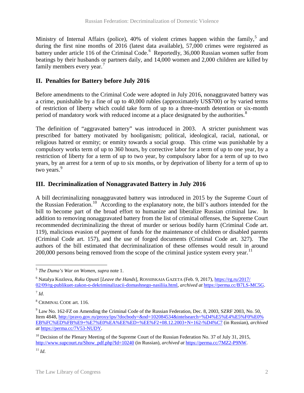Ministry of Internal Affairs (police), 40% of violent crimes happen within the family,<sup>[5](#page-2-0)</sup> and during the first nine months of 2016 (latest data available), 57,000 crimes were registered as battery under article 11[6](#page-2-1) of the Criminal Code.<sup>6</sup> Reportedly, 36,000 Russian women suffer from beatings by their husbands or partners daily, and 14,000 women and 2,000 children are killed by family members every year.<sup>[7](#page-2-2)</sup>

### **II. Penalties for Battery before July 2016**

Before amendments to the Criminal Code were adopted in July 2016, nonaggravated battery was a crime, punishable by a fine of up to 40,000 rubles (approximately US\$700) or by varied terms of restriction of liberty which could take form of up to a three-month detention or six-month period of mandatory work with reduced income at a place designated by the authorities.<sup>[8](#page-2-3)</sup>

The definition of "aggravated battery" was introduced in 2003. A stricter punishment was prescribed for battery motivated by hooliganism; political, ideological, racial, national, or religious hatred or enmity; or enmity towards a social group. This crime was punishable by a compulsory works term of up to 360 hours, by corrective labor for a term of up to one year, by a restriction of liberty for a term of up to two year, by compulsory labor for a term of up to two years, by an arrest for a term of up to six months, or by deprivation of liberty for a term of up to two years.<sup>[9](#page-2-4)</sup>

### **III. Decriminalization of Nonaggravated Battery in July 2016**

A bill decriminalizing nonaggravated battery was introduced in 2015 by the Supreme Court of the Russian Federation.[10](#page-2-5) According to the explanatory note, the bill's authors intended for the bill to become part of the broad effort to humanize and liberalize Russian criminal law. In addition to removing nonaggravated battery from the list of criminal offenses, the Supreme Court recommended decriminalizing the threat of murder or serious bodily harm (Criminal Code art. 119), malicious evasion of payment of funds for the maintenance of children or disabled parents (Criminal Code art. 157), and the use of forged documents (Criminal Code art. 327). The authors of the bill estimated that decriminalization of these offenses would result in around 200,000 persons being removed from the scope of the criminal justice system every year.<sup>[11](#page-2-6)</sup>

<span id="page-2-6"></span> $11 \, Id.$ 

<span id="page-2-0"></span> <sup>5</sup> *The Duma's War on Women*, *supra* note 1.

<span id="page-2-1"></span><sup>6</sup> Natalya Kozlova, *Ruku Opusti* [*Leave the Hands*], ROSSIISKAIA GAZETA (Feb. 9, 2017), [https://rg.ru/2017/](https://rg.ru/2017/02/09/rg-publikuet-zakon-o-dekriminalizacii-domashnego-nasiliia.html)  [02/09/rg-publikuet-zakon-o-dekriminalizacii-domashnego-nasiliia.html,](https://rg.ru/2017/02/09/rg-publikuet-zakon-o-dekriminalizacii-domashnego-nasiliia.html) *archived at* [https://perma.cc/B7LS-MC5G.](https://perma.cc/B7LS-MC5G)

<span id="page-2-2"></span> $^7$  *Id*.

<span id="page-2-3"></span><sup>8</sup> CRIMINAL CODE art. 116.

<span id="page-2-4"></span><sup>9</sup> Law No. 162-FZ on Amending the Criminal Code of the Russian Federation, Dec. 8, 2003, SZRF 2003, No. 50, Item 4848, [http://pravo.gov.ru/proxy/ips/?docbody=&nd=102084534&intelsearch=%D4%E5%E4%E5%F0%E0%](http://pravo.gov.ru/proxy/ips/?docbody=&nd=102084534&intelsearch=%D4%E5%E4%E5%F0%E0%EB%FC%ED%FB%E9+%E7%E0%EA%EE%ED+%EE%F2+08.12.2003+N+162-%D4%C7)  [EB%FC%ED%FB%E9+%E7%E0%EA%EE%ED+%EE%F2+08.12.2003+N+162-%D4%C7](http://pravo.gov.ru/proxy/ips/?docbody=&nd=102084534&intelsearch=%D4%E5%E4%E5%F0%E0%EB%FC%ED%FB%E9+%E7%E0%EA%EE%ED+%EE%F2+08.12.2003+N+162-%D4%C7) (in Russian), *archived at* [https://perma.cc/7V53-NUDY.](https://perma.cc/7V53-NUDY)

<span id="page-2-5"></span> $^{10}$  Decision of the Plenary Meeting of the Supreme Court of the Russian Federation No. 37 of July 31, 2015, [http://www.supcourt.ru/Show\\_pdf.php?Id=10240](http://www.supcourt.ru/Show_pdf.php?Id=10240) (in Russian), *archived at* [https://perma.cc/7MZ2-P9NW.](https://perma.cc/7MZ2-P9NW)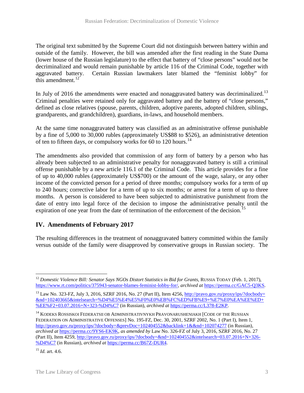The original text submitted by the Supreme Court did not distinguish between battery within and outside of the family. However, the bill was amended after the first reading in the State Duma (lower house of the Russian legislature) to the effect that battery of "close persons" would not be decriminalized and would remain punishable by article 116 of the Criminal Code, together with aggravated battery. Certain Russian lawmakers later blamed the "feminist lobby" for this amendment.<sup>[12](#page-3-0)</sup>

In July of 2016 the amendments were enacted and nonaggravated battery was decriminalized.<sup>[13](#page-3-1)</sup> Criminal penalties were retained only for aggravated battery and the battery of "close persons," defined as close relatives (spouse, parents, children, adoptive parents, adopted children, siblings, grandparents, and grandchildren), guardians, in-laws, and household members.

At the same time nonaggravated battery was classified as an administrative offense punishable by a fine of 5,000 to 30,000 rubles (approximately US\$88 to \$526), an administrative detention of ten to fifteen days, or compulsory works for 60 to 120 hours.<sup>14</sup>

The amendments also provided that commission of any form of battery by a person who has already been subjected to an administrative penalty for nonaggravated battery is still a criminal offense punishable by a new article 116.1 of the Criminal Code. This article provides for a fine of up to 40,000 rubles (approximately US\$700) or the amount of the wage, salary, or any other income of the convicted person for a period of three months; compulsory works for a term of up to 240 hours; corrective labor for a term of up to six months; or arrest for a term of up to three months. A person is considered to have been subjected to administrative punishment from the date of entry into legal force of the decision to impose the administrative penalty until the expiration of one year from the date of termination of the enforcement of the decision.<sup>[15](#page-3-3)</sup>

#### **IV. Amendments of February 2017**

The resulting differences in the treatment of nonaggravated battery committed within the family versus outside of the family were disapproved by conservative groups in Russian society. The

<span id="page-3-0"></span><sup>&</sup>lt;sup>12</sup> Domestic Violence Bill: Senator Says NGOs Distort Statistics in Bid for Grants, RUSSIA TODAY (Feb. 1, 2017), [https://www.rt.com/politics/375943-senator-blames-feminist-lobby-for/,](https://www.rt.com/politics/375943-senator-blames-feminist-lobby-for/) *archived at* [https://perma.cc/GAC5-Q3KS.](https://perma.cc/GAC5-Q3KS)

<span id="page-3-1"></span> $^{13}$  Law No. 323-FZ, July 3, 2016, SZRF 2016, No. 27 (Part II), Item 4256,  $\frac{http://pravo.gov.ru/prox/ips'/docbody=12016}{http://pravo.gov.ru/prox/ips'/docbody=12016}$ [&nd=102403665&intelsearch=%D4%E5%E4%E5%F0%E0%EB%FC%ED%FB%E9+%E7%E0%EA%EE%ED+](http://pravo.gov.ru/proxy/ips/?docbody=&nd=102403665&intelsearch=%D4%E5%E4%E5%F0%E0%EB%FC%ED%FB%E9+%E7%E0%EA%EE%ED+%EE%F2+03.07.2016+N+323-%D4%C7) [%EE%F2+03.07.2016+N+323-%D4%C7](http://pravo.gov.ru/proxy/ips/?docbody=&nd=102403665&intelsearch=%D4%E5%E4%E5%F0%E0%EB%FC%ED%FB%E9+%E7%E0%EA%EE%ED+%EE%F2+03.07.2016+N+323-%D4%C7) (in Russian), *archived at* [https://perma.cc/L378-E2KP.](https://perma.cc/L378-E2KP)

<span id="page-3-2"></span><sup>14</sup> KODEKS ROSSISKOI FEDERATSII OB ADMINISTRATIVNYKH PRAVONARUSHENIAKH [CODE OF THE RUSSIAN FEDERATION ON ADMINISTRATIVE OFFENSES] No. 195-FZ, Dec. 30, 2001, SZRF 2002, No. 1 (Part I), Item 1, <http://pravo.gov.ru/proxy/ips/?docbody=&prevDoc=102404552&backlink=1&&nd=102074277> (in Russian), *archived at* [https://perma.cc/9YS6-EK9K,](https://perma.cc/9YS6-EK9K) *as amended by* Law No. 326-FZ of July 3, 2016, SZRF 2016, No. 27 (Part II), Item 4259, [http://pravo.gov.ru/proxy/ips/?docbody=&nd=102404552&intelsearch=03.07.2016+N+326-](http://pravo.gov.ru/proxy/ips/?docbody=&nd=102404552&intelsearch=03.07.2016+N+326-%D4%C7) [%D4%C7](http://pravo.gov.ru/proxy/ips/?docbody=&nd=102404552&intelsearch=03.07.2016+N+326-%D4%C7) (in Russian), *archived at* [https://perma.cc/B67Z-DUR4.](https://perma.cc/B67Z-DUR4)

<span id="page-3-3"></span><sup>15</sup> *Id.* art. 4.6.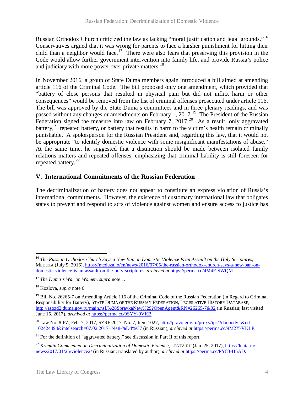Russian Orthodox Church criticized the law as lacking "moral justification and legal grounds."[16](#page-4-0) Conservatives argued that it was wrong for parents to face a harsher punishment for hitting their child than a neighbor would face.<sup>[17](#page-4-1)</sup> There were also fears that preserving this provision in the Code would allow further government intervention into family life, and provide Russia's police and judiciary with more power over private matters.<sup>[18](#page-4-2)</sup>

In November 2016, a group of State Duma members again introduced a bill aimed at amending article 116 of the Criminal Code. The bill proposed only one amendment, which provided that "battery of close persons that resulted in physical pain but did not inflict harm or other consequences" would be removed from the list of criminal offenses prosecuted under article 116. The bill was approved by the State Duma's committees and in three plenary readings, and was passed without any changes or amendments on February 1, 2017.<sup>19</sup> The President of the Russian Federation signed the measure into law on February 7, 2017.<sup>20</sup> As a result, only aggravated battery, $^{21}$  $^{21}$  $^{21}$  repeated battery, or battery that results in harm to the victim's health remain criminally punishable. A spokesperson for the Russian President said, regarding this law, that it would not be appropriate "to identify domestic violence with some insignificant manifestations of abuse." At the same time, he suggested that a distinction should be made between isolated family relations matters and repeated offenses, emphasizing that criminal liability is still foreseen for repeated battery.<sup>22</sup>

#### **V. International Commitments of the Russian Federation**

The decriminalization of battery does not appear to constitute an express violation of Russia's international commitments. However, the existence of customary international law that obligates states to prevent and respond to acts of violence against women and ensure access to justice has

<span id="page-4-0"></span><sup>16</sup> *The Russian Orthodox Church Says a New Ban on Domestic Violence Is an Assault on the Holy Scriptures*, MEDUZA (July 5, 2016), [https://meduza.io/en/news/2016/07/05/the-russian-orthodox-church-says-a-new-ban-on](https://meduza.io/en/news/2016/07/05/the-russian-orthodox-church-says-a-new-ban-on-domestic-violence-is-an-assault-on-the-holy-scriptures)[domestic-violence-is-an-assault-on-the-holy-scriptures,](https://meduza.io/en/news/2016/07/05/the-russian-orthodox-church-says-a-new-ban-on-domestic-violence-is-an-assault-on-the-holy-scriptures) *archived at* [https://perma.cc/4M4F-SWQM.](https://perma.cc/4M4F-SWQM) 

<span id="page-4-1"></span><sup>17</sup> *The Duma's War on Women*, *supra* note 1.

<span id="page-4-2"></span><sup>18</sup> Kozlova, *supra* note 6.

<span id="page-4-3"></span><sup>&</sup>lt;sup>19</sup> Bill No. 26265-7 on Amending Article 116 of the Criminal Code of the Russian Federation (in Regard to Criminal Responsibility for Battery), STATE DUMA OF THE RUSSIAN FEDERATION, LEGISLATIVE HISTORY DATABASE, <http://asozd2.duma.gov.ru/main.nsf/%28SpravkaNew%29?OpenAgent&RN=26265-7&02> (in Russian; last visited June 15, 2017), *archived at* [https://perma.cc/9SYY-9VKB.](https://perma.cc/9SYY-9VKB) 

<span id="page-4-4"></span><sup>&</sup>lt;sup>20</sup> Law No. 8-FZ, Feb. 7, 2017, SZRF 2017, No. 7, Item 1027, http://pravo.gov.ru/proxy/ips/?docbody=&nd= [102424494&intelsearch=07.02.2017+N+8-%D4%C7](http://pravo.gov.ru/proxy/ips/?docbody=&nd=102424494&intelsearch=07.02.2017+N+8-%D4%C7) (in Russian), *archived at* [https://perma.cc/9M2Y-VKLP.](https://perma.cc/9M2Y-VKLP)

<span id="page-4-5"></span> $21$  For the definition of "aggravated battery," see discussion in Part II of this report.

<span id="page-4-6"></span><sup>22</sup> *Kremlin Commented on Decriminalization of Domestic Violence*, LENTA.RU (Jan. 25, 2017)[, https://lenta.ru/](https://lenta.ru/news/2017/01/25/violence2/)  [news/2017/01/25/violence2/](https://lenta.ru/news/2017/01/25/violence2/) (in Russian; translated by author), *archived at* [https://perma.cc/PY83-H5AD.](https://perma.cc/PY83-H5AD)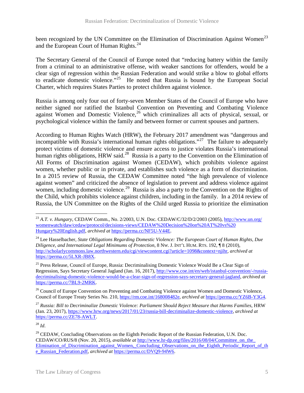been recognized by the UN Committee on the Elimination of Discrimination Against Women<sup>[23](#page-5-0)</sup> and the European Court of Human Rights.<sup>[24](#page-5-1)</sup>

The Secretary General of the Council of Europe noted that "reducing battery within the family from a criminal to an administrative offense, with weaker sanctions for offenders, would be a clear sign of regression within the Russian Federation and would strike a blow to global efforts to eradicate domestic violence."<sup>[25](#page-5-2)</sup> He noted that Russia is bound by the European Social Charter, which requires States Parties to protect children against violence.

Russia is among only four out of forty-seven Member States of the Council of Europe who have neither signed nor ratified the Istanbul Convention on Preventing and Combating Violence against Women and Domestic Violence,<sup>[26](#page-5-3)</sup> which criminalizes all acts of physical, sexual, or psychological violence within the family and between former or current spouses and partners.

According to Human Rights Watch (HRW), the February 2017 amendment was "dangerous and incompatible with Russia's international human rights obligations."<sup>[27](#page-5-4)</sup> The failure to adequately protect victims of domestic violence and ensure access to justice violates Russia's international human rights obligations, HRW said.<sup>28</sup> Russia is a party to the Convention on the Elimination of All Forms of Discrimination against Women (CEDAW), which prohibits violence against women, whether public or in private, and establishes such violence as a form of discrimination. In a 2015 review of Russia, the CEDAW Committee noted "the high prevalence of violence against women" and criticized the absence of legislation to prevent and address violence against women, including domestic violence.<sup>[29](#page-5-6)</sup> Russia is also a party to the Convention on the Rights of the Child, which prohibits violence against children, including in the family. In a 2014 review of Russia, the UN Committee on the Rights of the Child urged Russia to prioritize the elimination

<span id="page-5-3"></span><sup>26</sup> Council of Europe Convention on Preventing and Combating Violence against Women and Domestic Violence, Council of Europe Treaty Series No. 210, [https://rm.coe.int/168008482e,](https://rm.coe.int/168008482e) *archived at* [https://perma.cc/YZ6B-Y3G4.](https://perma.cc/YZ6B-Y3G4)

<span id="page-5-4"></span><sup>27</sup> *Russia: Bill to Decriminalize Domestic Violence: Parliament Should Reject Measure that Harms Families*, HRW (Jan. 23, 2017), [https://www.hrw.org/news/2017/01/23/russia-bill-decriminalize-domestic-violence,](https://www.hrw.org/news/2017/01/23/russia-bill-decriminalize-domestic-violence) *archived at* [https://perma.cc/ZE78-AWLT.](https://perma.cc/ZE78-AWLT) 

<span id="page-5-5"></span><sup>28</sup> *Id*.

<span id="page-5-0"></span><sup>23</sup> *A.T. v. Hungary*, CEDAW Comm., No. 2/2003, U.N. Doc. CEDAW/C/32/D/2/2003 (2005), [http://www.un.org/](http://www.un.org/womenwatch/daw/cedaw/protocol/decisions-views/CEDAW%20Decision%20on%20AT%20vs%20Hungary%20English.pdf)  [womenwatch/daw/cedaw/protocol/decisions-views/CEDAW%20Decision%20on%20AT%20vs%20](http://www.un.org/womenwatch/daw/cedaw/protocol/decisions-views/CEDAW%20Decision%20on%20AT%20vs%20Hungary%20English.pdf)  [Hungary%20English.pdf,](http://www.un.org/womenwatch/daw/cedaw/protocol/decisions-views/CEDAW%20Decision%20on%20AT%20vs%20Hungary%20English.pdf) *archived at* [https://perma.cc/NF5U-V44E.](https://perma.cc/NF5U-V44E)

<span id="page-5-1"></span><sup>24</sup> Lee Hasselbacher, *State Obligations Regarding Domestic Violence: The European Court of Human Rights, Due Diligence, and International Legal Minimums of Protection*, 8 NW. J. INT'L HUM. RTS. 192, ¶ 8 (2010), [http://scholarlycommons.law.northwestern.edu/cgi/viewcontent.cgi?article=1098&context=njihr,](http://scholarlycommons.law.northwestern.edu/cgi/viewcontent.cgi?article=1098&context=njihr) *archived at*  [https://perma.cc/5LXR-JB8X.](https://perma.cc/5LXR-JB8X)

<span id="page-5-2"></span><sup>&</sup>lt;sup>25</sup> Press Release, Council of Europe, Russia: Decriminalising Domestic Violence Would Be a Clear Sign of Regression, Says Secretary General Jagland (Jan. 16, 2017), [http://www.coe.int/en/web/istanbul-convention/-/russia](http://www.coe.int/en/web/istanbul-convention/-/russia-decriminalising-domestic-violence-would-be-a-clear-sign-of-regression-says-secretary-general-jagland)[decriminalising-domestic-violence-would-be-a-clear-sign-of-regression-says-secretary-general-jagland,](http://www.coe.int/en/web/istanbul-convention/-/russia-decriminalising-domestic-violence-would-be-a-clear-sign-of-regression-says-secretary-general-jagland) *archived at* [https://perma.cc/7BL9-2MRK.](https://perma.cc/7BL9-2MRK)

<span id="page-5-6"></span><sup>&</sup>lt;sup>29</sup> CEDAW, Concluding Observations on the Eighth Periodic Report of the Russian Federation, U.N. Doc. CEDAW/CO/RUS/8 (Nov. 20, 2015), *available at* [http://www.hr-dp.org/files/2016/08/04/Committee\\_on\\_the\\_](http://www.hr-dp.org/files/2016/08/04/Committee_on_the_Elimination_of_Discrimination_against_Women,_Concluding_Observations_on_the_Eighth_Periodic_Report_of_the_Russian_Federation.pdf)  Elimination of Discrimination against Women, Concluding Observations on the Eighth Periodic Report of the [e\\_Russian\\_Federation.pdf,](http://www.hr-dp.org/files/2016/08/04/Committee_on_the_Elimination_of_Discrimination_against_Women,_Concluding_Observations_on_the_Eighth_Periodic_Report_of_the_Russian_Federation.pdf) *archived at* [https://perma.cc/DVQ9-94W6.](https://perma.cc/DVQ9-94W6)